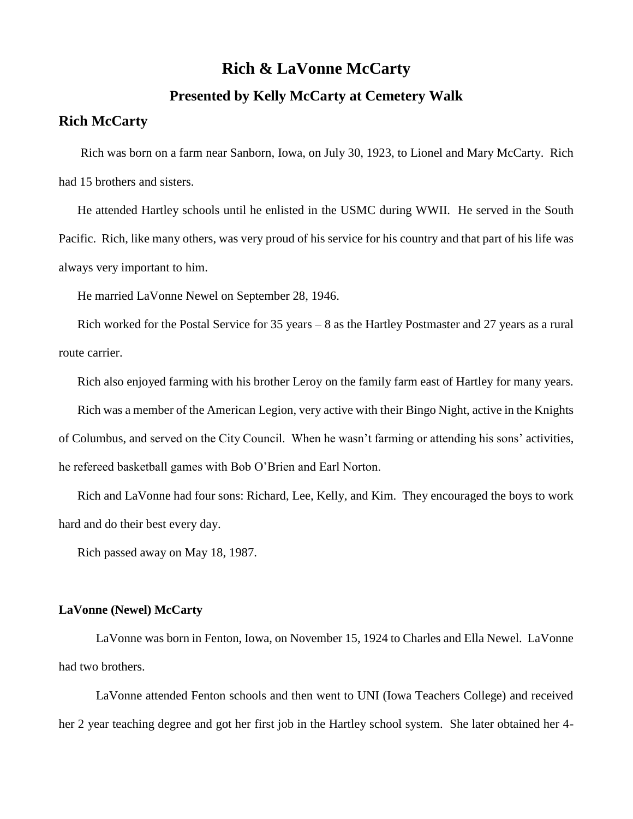## **Rich & LaVonne McCarty**

## **Presented by Kelly McCarty at Cemetery Walk**

## **Rich McCarty**

Rich was born on a farm near Sanborn, Iowa, on July 30, 1923, to Lionel and Mary McCarty. Rich had 15 brothers and sisters.

He attended Hartley schools until he enlisted in the USMC during WWII. He served in the South Pacific. Rich, like many others, was very proud of his service for his country and that part of his life was always very important to him.

He married LaVonne Newel on September 28, 1946.

Rich worked for the Postal Service for 35 years – 8 as the Hartley Postmaster and 27 years as a rural route carrier.

Rich also enjoyed farming with his brother Leroy on the family farm east of Hartley for many years.

Rich was a member of the American Legion, very active with their Bingo Night, active in the Knights of Columbus, and served on the City Council. When he wasn't farming or attending his sons' activities, he refereed basketball games with Bob O'Brien and Earl Norton.

Rich and LaVonne had four sons: Richard, Lee, Kelly, and Kim. They encouraged the boys to work hard and do their best every day.

Rich passed away on May 18, 1987.

## **LaVonne (Newel) McCarty**

LaVonne was born in Fenton, Iowa, on November 15, 1924 to Charles and Ella Newel. LaVonne had two brothers.

LaVonne attended Fenton schools and then went to UNI (Iowa Teachers College) and received her 2 year teaching degree and got her first job in the Hartley school system. She later obtained her 4